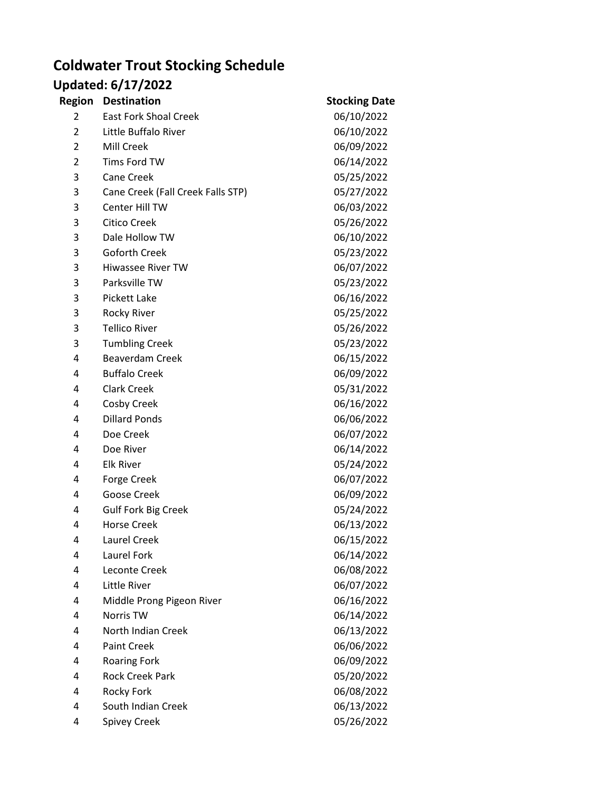## **Coldwater Trout Stocking Schedule**

## **Updated: 6/17/2022**

| Region         | <b>Destination</b>                | <b>Stocking Date</b> |
|----------------|-----------------------------------|----------------------|
| 2              | <b>East Fork Shoal Creek</b>      | 06/10/2022           |
| $\overline{2}$ | Little Buffalo River              | 06/10/2022           |
| $\overline{2}$ | Mill Creek                        | 06/09/2022           |
| $\overline{2}$ | Tims Ford TW                      | 06/14/2022           |
| 3              | <b>Cane Creek</b>                 | 05/25/2022           |
| 3              | Cane Creek (Fall Creek Falls STP) | 05/27/2022           |
| 3              | Center Hill TW                    | 06/03/2022           |
| 3              | <b>Citico Creek</b>               | 05/26/2022           |
| 3              | Dale Hollow TW                    | 06/10/2022           |
| 3              | Goforth Creek                     | 05/23/2022           |
| 3              | <b>Hiwassee River TW</b>          | 06/07/2022           |
| 3              | Parksville TW                     | 05/23/2022           |
| 3              | Pickett Lake                      | 06/16/2022           |
| 3              | Rocky River                       | 05/25/2022           |
| 3              | <b>Tellico River</b>              | 05/26/2022           |
| 3              | <b>Tumbling Creek</b>             | 05/23/2022           |
| 4              | <b>Beaverdam Creek</b>            | 06/15/2022           |
| 4              | <b>Buffalo Creek</b>              | 06/09/2022           |
| 4              | <b>Clark Creek</b>                | 05/31/2022           |
| 4              | Cosby Creek                       | 06/16/2022           |
| 4              | <b>Dillard Ponds</b>              | 06/06/2022           |
| 4              | Doe Creek                         | 06/07/2022           |
| 4              | Doe River                         | 06/14/2022           |
| 4              | <b>Elk River</b>                  | 05/24/2022           |
| 4              | Forge Creek                       | 06/07/2022           |
| 4              | <b>Goose Creek</b>                | 06/09/2022           |
| 4              | <b>Gulf Fork Big Creek</b>        | 05/24/2022           |
| 4              | <b>Horse Creek</b>                | 06/13/2022           |
| 4              | Laurel Creek                      | 06/15/2022           |
| 4              | Laurel Fork                       | 06/14/2022           |
| 4              | Leconte Creek                     | 06/08/2022           |
| 4              | Little River                      | 06/07/2022           |
| 4              | Middle Prong Pigeon River         | 06/16/2022           |
| 4              | Norris TW                         | 06/14/2022           |
| 4              | North Indian Creek                | 06/13/2022           |
| 4              | <b>Paint Creek</b>                | 06/06/2022           |
| 4              | <b>Roaring Fork</b>               | 06/09/2022           |
| 4              | <b>Rock Creek Park</b>            | 05/20/2022           |
| 4              | Rocky Fork                        | 06/08/2022           |
| 4              | South Indian Creek                | 06/13/2022           |
| 4              | <b>Spivey Creek</b>               | 05/26/2022           |